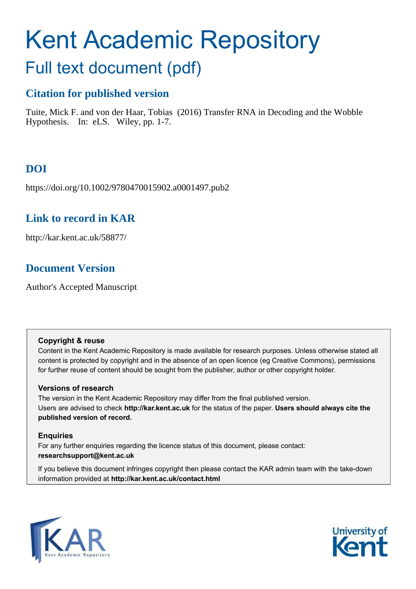# Kent Academic Repository

## Full text document (pdf)

## **Citation for published version**

Tuite, Mick F. and von der Haar, Tobias (2016) Transfer RNA in Decoding and the Wobble Hypothesis. In: eLS. Wiley, pp. 1-7.

## **DOI**

https://doi.org/10.1002/9780470015902.a0001497.pub2

## **Link to record in KAR**

http://kar.kent.ac.uk/58877/

## **Document Version**

Author's Accepted Manuscript

#### **Copyright & reuse**

Content in the Kent Academic Repository is made available for research purposes. Unless otherwise stated all content is protected by copyright and in the absence of an open licence (eg Creative Commons), permissions for further reuse of content should be sought from the publisher, author or other copyright holder.

#### **Versions of research**

The version in the Kent Academic Repository may differ from the final published version. Users are advised to check **http://kar.kent.ac.uk** for the status of the paper. **Users should always cite the published version of record.**

#### **Enquiries**

For any further enquiries regarding the licence status of this document, please contact: **researchsupport@kent.ac.uk**

If you believe this document infringes copyright then please contact the KAR admin team with the take-down information provided at **http://kar.kent.ac.uk/contact.html**



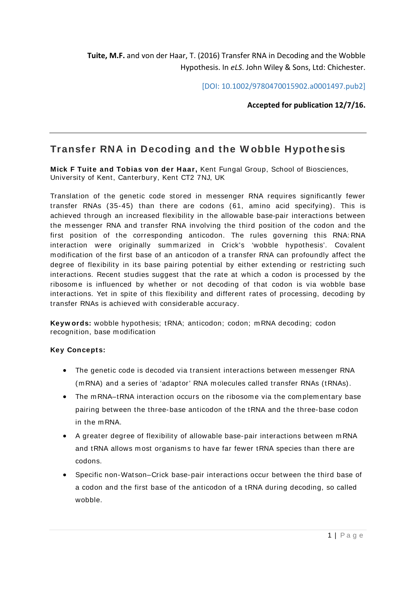**Tuite, M.F.** and von der Haar, T. (2016) Transfer RNA in Decoding and the Wobble Hypothesis. In *eLS*. John Wiley & Sons, Ltd: Chichester.

[DOI: 10.1002/9780470015902.a0001497.pub2]

**Accepted for publication 12/7/16.** 

### **Transfer RNA in Decoding and the W obble Hypothesis**

**Mick F Tuite and Tobias von der Haar,** Kent Fungal Group, School of Biosciences, University of Kent, Canterbury, Kent CT2 7NJ, UK

Translation of the genetic code stored in messenger RNA requires significantly fewer transfer RNAs (35-45) than there are codons (61, amino acid specifying). This is achieved through an increased flexibility in the allowable base-pair interactions between the m essenger RNA and transfer RNA involving the third position of the codon and the first position of the corresponding anticodon. The rules governing this RNA: RNA interaction were originally summarized in Crick's 'wobble hypothesis'. Covalent m odification of the first base of an anticodon of a transfer RNA can profoundly affect the degree of flexibility in its base pairing potential by either extending or restricting such interactions. Recent studies suggest that the rate at which a codon is processed by the ribosome is influenced by whether or not decoding of that codon is via wobble base interactions. Yet in spite of this flexibility and different rates of processing, decoding by transfer RNAs is achieved with considerable accuracy.

**Keyw ords:** wobble hypothesis; tRNA; anticodon; codon; m RNA decoding; codon recognition, base modification

#### **Key Concepts:**

- The genetic code is decoded via transient interactions between m essenger RNA (m RNA) and a series of 'adaptor' RNA m olecules called transfer RNAs (tRNAs).
- The mRNA-tRNA interaction occurs on the ribosome via the complementary base pairing between the three-base anticodon of the tRNA and the three-base codon in the m RNA.
- A greater degree of flexibility of allowable base-pair interactions between m RNA and tRNA allows most organisms to have far fewer tRNA species than there are codons.
- Specific non-Watson–Crick base-pair interactions occur between the third base of a codon and the first base of the anticodon of a tRNA during decoding, so called wobble.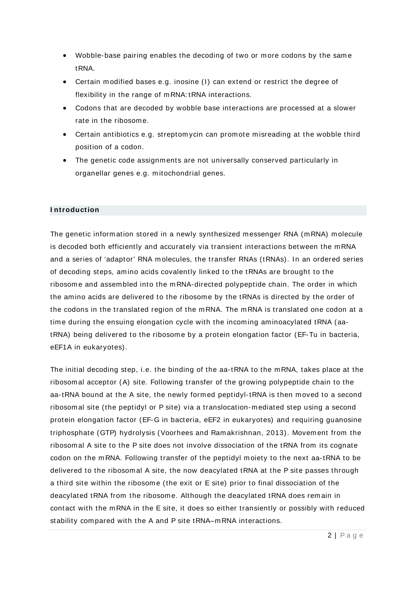- Wobble-base pairing enables the decoding of two or more codons by the same tRNA.
- Certain modified bases e.g. inosine (I) can extend or restrict the degree of flexibility in the range of m RNA: tRNA interactions.
- Codons that are decoded by wobble base interactions are processed at a slower rate in the ribosom e.
- Certain antibiotics e.g. streptomycin can promote misreading at the wobble third position of a codon.
- The genetic code assignments are not universally conserved particularly in organellar genes e.g. m itochondrial genes.

#### **I ntroduction**

The genetic information stored in a newly synthesized messenger RNA (mRNA) molecule is decoded both efficiently and accurately via transient interactions between the m RNA and a series of 'adaptor' RNA m olecules, the transfer RNAs (tRNAs). In an ordered series of decoding steps, amino acids covalently linked to the tRNAs are brought to the ribosom e and assem bled into the m RNA-directed polypeptide chain. The order in which the amino acids are delivered to the ribosome by the tRNAs is directed by the order of the codons in the translated region of the m RNA. The m RNA is translated one codon at a time during the ensuing elongation cycle with the incoming aminoacylated tRNA (aatRNA) being delivered to the ribosom e by a protein elongation factor (EF-Tu in bacteria, eEF1A in eukaryotes).

The initial decoding step, i.e. the binding of the aa-tRNA to the m RNA, takes place at the ribosom al acceptor (A) site. Following transfer of the growing polypeptide chain to the aa-tRNA bound at the A site, the newly formed peptidyl-tRNA is then moved to a second ribosom al site (the peptidyl or P site) via a translocation-mediated step using a second protein elongation factor (EF-G in bacteria, eEF2 in eukaryotes) and requiring guanosine triphosphate (GTP) hydrolysis (Voorhees and Ram akrishnan, 2013). Movem ent from the ribosom al A site to the P site does not involve dissociation of the tRNA from its cognate codon on the m RNA. Following transfer of the peptidyl moiety to the next aa-tRNA to be delivered to the ribosomal A site, the now deacylated tRNA at the P site passes through a third site within the ribosom e (the exit or E site) prior to final dissociation of the deacylated tRNA from the ribosome. Although the deacylated tRNA does remain in contact with the m RNA in the E site, it does so either transiently or possibly with reduced stability compared with the A and P site tRNA–mRNA interactions.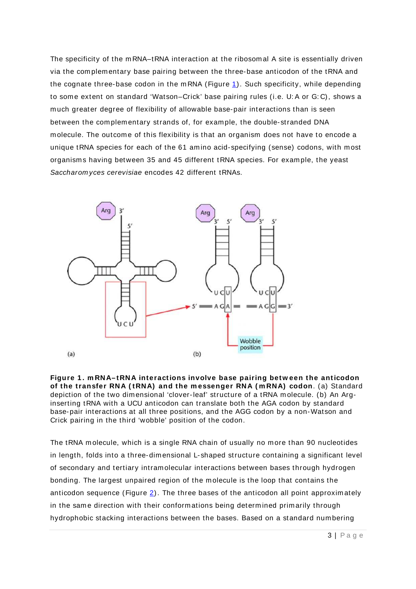The specificity of the m RNA–tRNA interaction at the ribosomal A site is essentially driven via the complementary base pairing between the three-base anticodon of the tRNA and the cognate three-base codon in the mRNA (Figure  $1$ ). Such specificity, while depending to some extent on standard 'Watson–Crick' base pairing rules (i.e. U: A or G: C), shows a m uch greater degree of flexibility of allowable base-pair interactions than is seen between the com plem entary strands of, for exam ple, the double- stranded DNA m olecule. The outcom e of this flexibility is that an organism does not have to encode a unique tRNA species for each of the 61 amino acid-specifying (sense) codons, with most organism s having between 35 and 45 different tRNA species. For exam ple, the yeast Saccharom yces cerevisiae encodes 42 different tRNAs.



**Figure 1 . m RNA– tRNA interactions involve base pairing betw een the anticodon of the transfer RNA ( tRNA) and the m essenger RNA ( m RNA) codon**. (a) Standard depiction of the two dimensional 'clover-leaf' structure of a tRNA m olecule. (b) An Arginserting tRNA with a UCU anticodon can translate both the AGA codon by standard base-pair interactions at all three positions, and the AGG codon by a non-Watson and Crick pairing in the third 'wobble' position of the codon.

The tRNA m olecule, which is a single RNA chain of usually no more than 90 nucleotides in length, folds into a three-dimensional L- shaped structure containing a significant level of secondary and tertiary intram olecular interactions between bases through hydrogen bonding. The largest unpaired region of the m olecule is the loop that contains the anticodon sequence (Figure  $2$ ). The three bases of the anticodon all point approximately in the same direction with their conformations being determined primarily through hydrophobic stacking interactions between the bases. Based on a standard numbering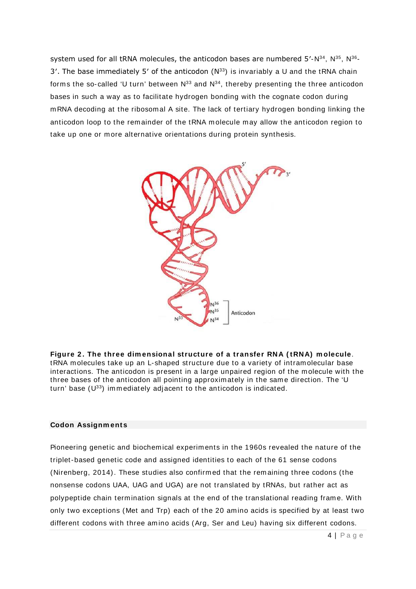system used for all tRNA molecules, the anticodon bases are numbered  $5'-N^{34}$ ,  $N^{35}$ ,  $N^{36}$ -3'. The base immediately 5' of the anticodon  $(N^{33})$  is invariably a U and the tRNA chain forms the so-called 'U turn' between  $N^{33}$  and  $N^{34}$ , thereby presenting the three anticodon bases in such a way as to facilitate hydrogen bonding with the cognate codon during m RNA decoding at the ribosom al A site. The lack of tertiary hydrogen bonding linking the anticodon loop to the remainder of the tRNA molecule may allow the anticodon region to take up one or more alternative orientations during protein synthesis.



**Figure 2 . The three dim ensional structure of a transfer RNA ( tRNA) m olecule**. tRNA m olecules take up an L- shaped structure due to a variety of intram olecular base interactions. The anticodon is present in a large unpaired region of the m olecule with the three bases of the anticodon all pointing approximately in the same direction. The 'U turn' base  $(U^{33})$  immediately adjacent to the anticodon is indicated.

#### **Codon Assignm ents**

Pioneering genetic and biochem ical experim ents in the 1960s revealed the nature of the triplet-based genetic code and assigned identities to each of the 61 sense codons (Nirenberg, 2014). These studies also confirm ed that the remaining three codons (the nonsense codons UAA, UAG and UGA) are not translated by tRNAs, but rather act as polypeptide chain termination signals at the end of the translational reading frame. With only two exceptions (Met and Trp) each of the 20 am ino acids is specified by at least two different codons with three amino acids (Arg, Ser and Leu) having six different codons.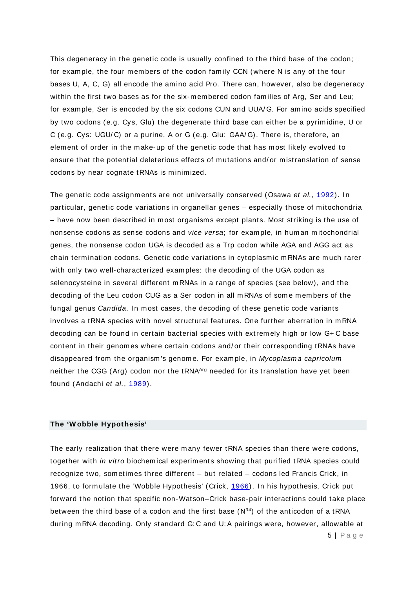This degeneracy in the genetic code is usually confined to the third base of the codon; for example, the four members of the codon family CCN (where N is any of the four bases U, A, C, G) all encode the am ino acid Pro. There can, however, also be degeneracy within the first two bases as for the six-membered codon families of Arg. Ser and Leu: for example, Ser is encoded by the six codons CUN and UUA/G. For amino acids specified by two codons (e.g. Cys, Glu) the degenerate third base can either be a pyrim idine, U or C (e.g. Cys: UGU/C) or a purine, A or G (e.g. Glu: GAA/G). There is, therefore, an elem ent of order in the m ake-up of the genetic code that has m ost likely evolved to ensure that the potential deleterious effects of mutations and/ or mistranslation of sense codons by near cognate tRNAs is minimized.

The genetic code assignments are not universally conserved (Osawa et al., [1992\)](http://onlinelibrary.wiley.com/doi/10.1038/npg.els.0001497/full#a0001497-bib-0007). In particular, genetic code variations in organellar genes – especially those of mitochondria – have now been described in m ost organism s except plants. Most striking is the use of nonsense codons as sense codons and vice versa; for example, in human mitochondrial genes, the nonsense codon UGA is decoded as a Trp codon while AGA and AGG act as chain term ination codons. Genetic code variations in cytoplasm ic m RNAs are m uch rarer with only two well-characterized examples: the decoding of the UGA codon as selenocysteine in several different m RNAs in a range of species (see below), and the decoding of the Leu codon CUG as a Ser codon in all mRNAs of some members of the fungal genus *Candida*. In most cases, the decoding of these genetic code variants involves a tRNA species with novel structural features. One further aberration in m RNA decoding can be found in certain bacterial species with extrem ely high or low G+ C base content in their genom es where certain codons and/ or their corresponding tRNAs have disappeared from the organism's genome. For example, in Mycoplasma capricolum neither the CGG (Arg) codon nor the tRNAArg needed for its translation have yet been found (Andachi et al., [1989\)](http://onlinelibrary.wiley.com/doi/10.1038/npg.els.0001497/full#a0001497-bib-0001).

#### **The 'W obble Hypothesis'**

The early realization that there were many fewer tRNA species than there were codons, together with in vitro biochemical experiments showing that purified tRNA species could recognize two, som etim es three different – but related – codons led Francis Crick, in 1966, to form ulate the 'Wobble Hypothesis' (Crick, [1966\)](http://onlinelibrary.wiley.com/doi/10.1038/npg.els.0001497/full#a0001497-bib-0002). In his hypothesis, Crick put forward the notion that specific non-Watson–Crick base-pair interactions could take place between the third base of a codon and the first base  $(N^{34})$  of the anticodon of a tRNA during m RNA decoding. Only standard G: C and U: A pairings were, however, allowable at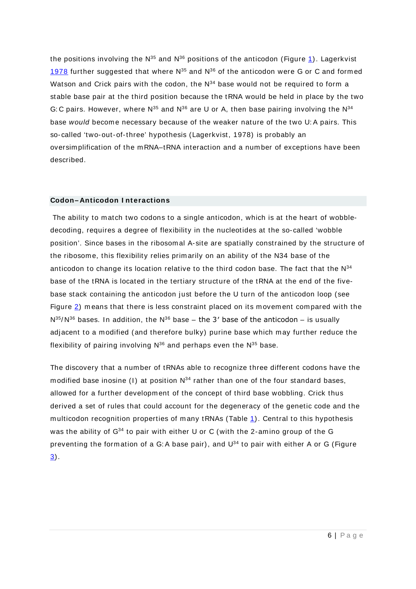the positions involving the  $N^{35}$  and  $N^{36}$  positions of the anticodon (Figure [1\)](http://onlinelibrary.wiley.com/doi/10.1038/npg.els.0001497/full#a0001497-fig-0001). Lagerkvist [1978](http://onlinelibrary.wiley.com/doi/10.1038/npg.els.0001497/full#a0001497-bib-0004) further suggested that where  $N^{35}$  and  $N^{36}$  of the anticodon were G or C and formed Watson and Crick pairs with the codon, the  $N^{34}$  base would not be required to form a stable base pair at the third position because the tRNA would be held in place by the two G: C pairs. However, where  $N^{35}$  and  $N^{36}$  are U or A, then base pairing involving the  $N^{34}$ base would becom e necessary because of the weaker nature of the two U: A pairs. This so-called 'two-out-of-three' hypothesis (Lagerkvist, 1978) is probably an oversim plification of the m RNA–tRNA interaction and a num ber of exceptions have been described.

#### **Codon– Anticodon I nteractions**

The ability to match two codons to a single anticodon, which is at the heart of wobbledecoding, requires a degree of flexibility in the nucleotides at the so- called 'wobble position'. Since bases in the ribosomal A- site are spatially constrained by the structure of the ribosom e, this flexibility relies prim arily on an ability of the N34 base of the anticodon to change its location relative to the third codon base. The fact that the  $N^{34}$ base of the tRNA is located in the tertiary structure of the tRNA at the end of the fivebase stack containing the anticodon just before the U turn of the anticodon loop (see Figure  $2$ ) means that there is less constraint placed on its movement compared with the  $N^{35}/N^{36}$  bases. In addition, the  $N^{36}$  base – the 3' base of the anticodon – is usually adjacent to a modified (and therefore bulky) purine base which may further reduce the flexibility of pairing involving  $N^{36}$  and perhaps even the  $N^{35}$  base.

The discovery that a num ber of tRNAs able to recognize three different codons have the modified base inosine (I) at position  $N^{34}$  rather than one of the four standard bases, allowed for a further development of the concept of third base wobbling. Crick thus derived a set of rules that could account for the degeneracy of the genetic code and the multicodon recognition properties of many tRNAs (Table  $1$ ). Central to this hypothesis was the ability of  $G^{34}$  to pair with either U or C (with the 2-amino group of the G preventing the formation of a G: A base pair), and U<sup>34</sup> to pair with either A or G (Figure [3\)](http://onlinelibrary.wiley.com/doi/10.1038/npg.els.0001497/full#a0001497-fig-0003).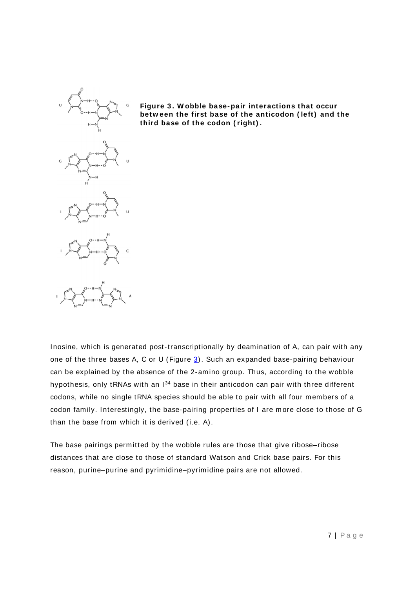



Inosine, which is generated post-transcriptionally by deam ination of A, can pair with any one of the three bases A, C or U (Figure  $3$ ). Such an expanded base-pairing behaviour can be explained by the absence of the 2-am ino group. Thus, according to the wobble hypothesis, only tRNAs with an  $1^{34}$  base in their anticodon can pair with three different codons, while no single tRNA species should be able to pair with all four members of a codon family. Interestingly, the base-pairing properties of I are more close to those of G than the base from which it is derived (i.e. A).

The base pairings permitted by the wobble rules are those that give ribose-ribose distances that are close to those of standard Watson and Crick base pairs. For this reason, purine–purine and pyrimidine–pyrimidine pairs are not allowed.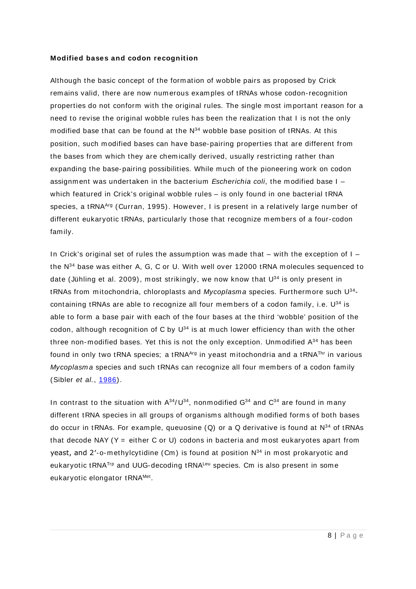#### **Modified bases and codon recognition**

Although the basic concept of the formation of wobble pairs as proposed by Crick rem ains valid, there are now num erous exam ples of tRNAs whose codon-recognition properties do not conform with the original rules. The single m ost im portant reason for a need to revise the original wobble rules has been the realization that I is not the only modified base that can be found at the  $N^{34}$  wobble base position of tRNAs. At this position, such modified bases can have base-pairing properties that are different from the bases from which they are chem ically derived, usually restricting rather than expanding the base-pairing possibilities. While m uch of the pioneering work on codon assignment was undertaken in the bacterium Escherichia coli, the modified base  $I$ which featured in Crick's original wobble rules – is only found in one bacterial tRNA species, a tRNA<sup>Arg</sup> (Curran, 1995). However, I is present in a relatively large number of different eukaryotic tRNAs, particularly those that recognize members of a four-codon fam ily.

In Crick's original set of rules the assumption was made that  $-$  with the exception of  $I$ the  $N^{34}$  base was either A, G, C or U. With well over 12000 tRNA molecules sequenced to date (Jühling et al. 2009), most strikingly, we now know that  $U^{34}$  is only present in tRNAs from mitochondria, chloroplasts and *Mycoplasma* species. Furthermore such U<sup>34</sup>containing tRNAs are able to recognize all four members of a codon family, i.e.  $U^{34}$  is able to form a base pair with each of the four bases at the third 'wobble' position of the codon, although recognition of C by  $U^{34}$  is at much lower efficiency than with the other three non-modified bases. Yet this is not the only exception. Unmodified  $A^{34}$  has been found in only two tRNA species; a tRNA $A<sup>rg</sup>$  in yeast mitochondria and a tRNA $<sup>Thr</sup>$  in various</sup> Mycoplasma species and such tRNAs can recognize all four members of a codon family (Sibler et al., [1986\)](http://onlinelibrary.wiley.com/doi/10.1038/npg.els.0001497/full#a0001497-bib-0009).

In contrast to the situation with  $A^{34}/U^{34}$ , nonmodified  $G^{34}$  and  $C^{34}$  are found in many different tRNA species in all groups of organisms although modified forms of both bases do occur in tRNAs. For example, queuosine  $(Q)$  or a Q derivative is found at  $N^{34}$  of tRNAs that decode NAY ( $Y =$  either C or U) codons in bacteria and most eukaryotes apart from yeast, and  $2'-o$ -methylcytidine (Cm) is found at position  $N^{34}$  in most prokaryotic and eukaryotic tRNATrp and UUG-decoding tRNALeu species. Cm is also present in some eukaryotic elongator tRNA<sup>Met</sup>.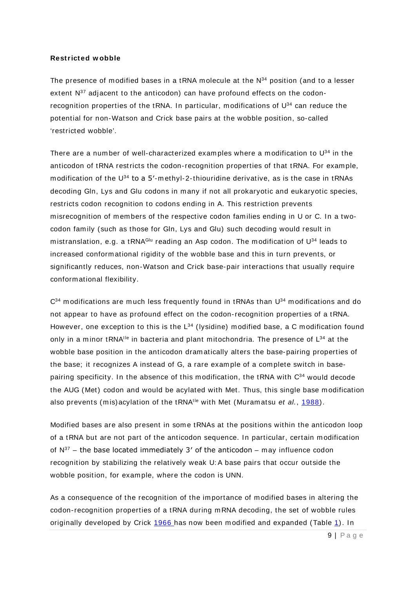#### **Restricted w obble**

The presence of modified bases in a tRNA molecule at the  $N^{34}$  position (and to a lesser extent  $N^{37}$  adjacent to the anticodon) can have profound effects on the codonrecognition properties of the tRNA. In particular, modifications of  $\mathsf{U}^{34}$  can reduce the potential for non-Watson and Crick base pairs at the wobble position, so- called 'restricted wobble'.

There are a number of well-characterized examples where a modification to  $U^{34}$  in the anticodon of tRNA restricts the codon-recognition properties of that tRNA. For exam ple, modification of the  $U^{34}$  to a 5'-methyl-2-thiouridine derivative, as is the case in tRNAs decoding Gln, Lys and Glu codons in many if not all prokaryotic and eukaryotic species, restricts codon recognition to codons ending in A. This restriction prevents misrecognition of members of the respective codon families ending in U or C. In a twocodon fam ily (such as those for Gln, Lys and Glu) such decoding would result in mistranslation, e.g. a tRNAGIU reading an Asp codon. The modification of  $U^{34}$  leads to increased conform ational rigidity of the wobble base and this in turn prevents, or significantly reduces, non-Watson and Crick base-pair interactions that usually require conform ational flexibility.

 $C<sup>34</sup>$  modifications are much less frequently found in tRNAs than  $U<sup>34</sup>$  modifications and do not appear to have as profound effect on the codon-recognition properties of a tRNA. However, one exception to this is the  $L^{34}$  (lysidine) modified base, a C modification found only in a minor tRNA<sup>IIe</sup> in bacteria and plant mitochondria. The presence of  $L^{34}$  at the wobble base position in the anticodon dramatically alters the base-pairing properties of the base; it recognizes A instead of G, a rare exam ple of a complete switch in basepairing specificity. In the absence of this modification, the tRNA with  $C<sup>34</sup>$  would decode the AUG (Met) codon and would be acylated with Met. Thus, this single base m odification also prevents (mis)acylation of the tRNA<sup>I le</sup> with Met (Muramatsu et al., [1988\)](http://onlinelibrary.wiley.com/doi/10.1038/npg.els.0001497/full#a0001497-bib-0006).

Modified bases are also present in some tRNAs at the positions within the anticodon loop of a tRNA but are not part of the anticodon sequence. In particular, certain modification of  $N^{37}$  – the base located immediately 3' of the anticodon – may influence codon recognition by stabilizing the relatively weak U: A base pairs that occur outside the wobble position, for example, where the codon is UNN.

As a consequence of the recognition of the im portance of modified bases in altering the codon-recognition properties of a tRNA during m RNA decoding, the set of wobble rules originally developed by Crick [1966](http://onlinelibrary.wiley.com/doi/10.1038/npg.els.0001497/full#a0001497-bib-0002) has now been m odified and expanded (Table [1\)](http://onlinelibrary.wiley.com/doi/10.1038/npg.els.0001497/full#a0001497-tbl-0001). In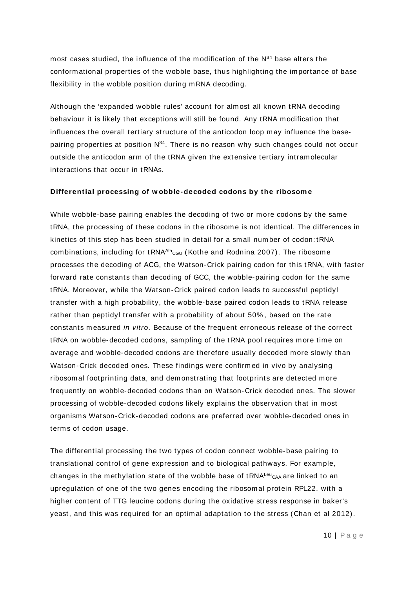most cases studied, the influence of the modification of the  $N^{34}$  base alters the conformational properties of the wobble base, thus highlighting the importance of base flexibility in the wobble position during m RNA decoding.

Although the 'expanded wobble rules' account for alm ost all known tRNA decoding behaviour it is likely that exceptions will still be found. Any tRNA m odification that influences the overall tertiary structure of the anticodon loop may influence the basepairing properties at position  $N^{34}$ . There is no reason why such changes could not occur outside the anticodon arm of the tRNA given the extensive tertiary intram olecular interactions that occur in tRNAs.

#### **Differential processing of w obble-decoded codons by the ribosom e**

While wobble-base pairing enables the decoding of two or more codons by the same tRNA, the processing of these codons in the ribosom e is not identical. The differences in kinetics of this step has been studied in detail for a sm all num ber of codon: tRNA combinations, including for tRNA<sup>Ala</sup>c<sub>GU</sub> (Kothe and Rodnina 2007). The ribosome processes the decoding of ACG, the Watson-Crick pairing codon for this tRNA, with faster forward rate constants than decoding of GCC, the wobble-pairing codon for the same tRNA. Moreover, while the Watson-Crick paired codon leads to successful peptidyl transfer with a high probability, the wobble-base paired codon leads to tRNA release rather than peptidyl transfer with a probability of about 50% , based on the rate constants measured in vitro. Because of the frequent erroneous release of the correct tRNA on wobble-decoded codons, sampling of the tRNA pool requires more time on average and wobble-decoded codons are therefore usually decoded m ore slowly than Watson-Crick decoded ones. These findings were confirm ed in vivo by analysing ribosom al footprinting data, and dem onstrating that footprints are detected more frequently on wobble-decoded codons than on Watson-Crick decoded ones. The slower processing of wobble-decoded codons likely explains the observation that in most organism s Watson-Crick-decoded codons are preferred over wobble-decoded ones in term s of codon usage.

The differential processing the two types of codon connect wobble-base pairing to translational control of gene expression and to biological pathways. For exam ple, changes in the methylation state of the wobble base of  $tRNA<sup>Leu</sup>CAA$  are linked to an upregulation of one of the two genes encoding the ribosom al protein RPL22, with a higher content of TTG leucine codons during the oxidative stress response in baker's yeast, and this was required for an optimal adaptation to the stress (Chan et al 2012).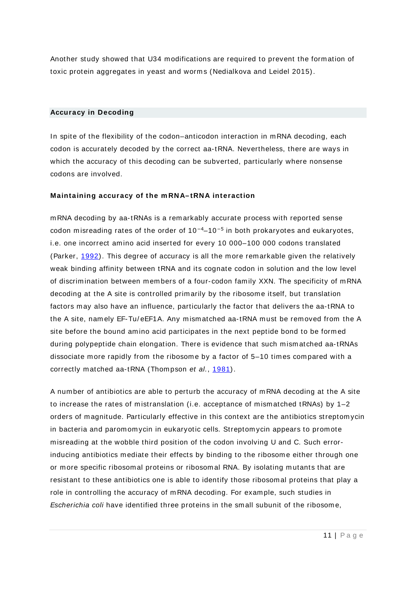Another study showed that U34 modifications are required to prevent the form ation of toxic protein aggregates in yeast and worms (Nedialkova and Leidel 2015).

#### **Accuracy in Decoding**

In spite of the flexibility of the codon–anticodon interaction in m RNA decoding, each codon is accurately decoded by the correct aa-tRNA. Nevertheless, there are ways in which the accuracy of this decoding can be subverted, particularly where nonsense codons are involved.

#### **Maintaining accuracy of the m RNA– tRNA interaction**

m RNA decoding by aa-tRNAs is a rem arkably accurate process with reported sense codon misreading rates of the order of  $10^{-4}$ – $10^{-5}$  in both prokaryotes and eukaryotes, i.e. one incorrect am ino acid inserted for every 10 000–100 000 codons translated (Parker, [1992\)](http://onlinelibrary.wiley.com/doi/10.1038/npg.els.0001497/full#a0001497-bib-0008). This degree of accuracy is all the more remarkable given the relatively weak binding affinity between tRNA and its cognate codon in solution and the low level of discrim ination between m em bers of a four- codon fam ily XXN. The specificity of m RNA decoding at the A site is controlled primarily by the ribosome itself, but translation factors m ay also have an influence, particularly the factor that delivers the aa-tRNA to the A site, nam ely EF-Tu/ eEF1A. Any m ism atched aa-tRNA m ust be rem oved from the A site before the bound amino acid participates in the next peptide bond to be form ed during polypeptide chain elongation. There is evidence that such mism atched aa-tRNAs dissociate more rapidly from the ribosome by a factor of 5–10 times compared with a correctly matched aa-tRNA (Thompson et al., [1981\)](http://onlinelibrary.wiley.com/doi/10.1038/npg.els.0001497/full#a0001497-bib-0011).

A number of antibiotics are able to perturb the accuracy of m RNA decoding at the A site to increase the rates of mistranslation (i.e. acceptance of mismatched tRNAs) by  $1-2$ orders of m agnitude. Particularly effective in this context are the antibiotics streptom ycin in bacteria and paromomycin in eukaryotic cells. Streptom ycin appears to promote misreading at the wobble third position of the codon involving U and C. Such errorinducing antibiotics mediate their effects by binding to the ribosom e either through one or m ore specific ribosom al proteins or ribosom al RNA. By isolating mutants that are resistant to these antibiotics one is able to identify those ribosomal proteins that play a role in controlling the accuracy of m RNA decoding. For example, such studies in Escherichia coli have identified three proteins in the small subunit of the ribosome,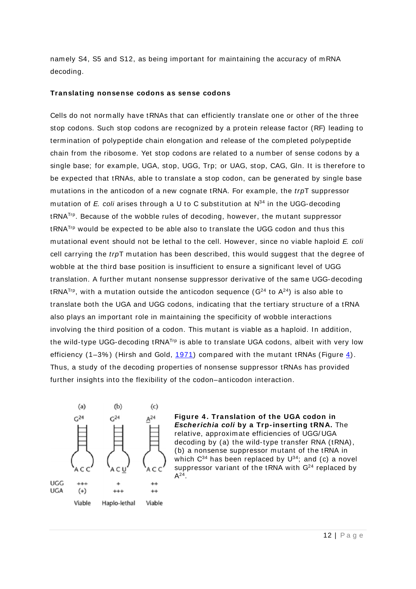nam ely S4, S5 and S12, as being im portant for m aintaining the accuracy of m RNA decoding.

#### **Translating nonsense codons as sense codons**

Cells do not norm ally have tRNAs that can efficiently translate one or other of the three stop codons. Such stop codons are recognized by a protein release factor (RF) leading to termination of polypeptide chain elongation and release of the com pleted polypeptide chain from the ribosom e. Yet stop codons are related to a number of sense codons by a single base; for example, UGA, stop, UGG, Trp; or UAG, stop, CAG, Gln. It is therefore to be expected that tRNAs, able to translate a stop codon, can be generated by single base mutations in the anticodon of a new cognate tRNA. For example, the trpT suppressor mutation of E. coli arises through a U to C substitution at  $N^{34}$  in the UGG-decoding tRNATrp. Because of the wobble rules of decoding, however, the mutant suppressor tRNATrp would be expected to be able also to translate the UGG codon and thus this mutational event should not be lethal to the cell. However, since no viable haploid E. coli cell carrying the  $trpT$  mutation has been described, this would suggest that the degree of wobble at the third base position is insufficient to ensure a significant level of UGG translation. A further mutant nonsense suppressor derivative of the same UGG-decoding tRNA<sup>Trp</sup>, with a mutation outside the anticodon sequence ( $G^{24}$  to  $A^{24}$ ) is also able to translate both the UGA and UGG codons, indicating that the tertiary structure of a tRNA also plays an important role in maintaining the specificity of wobble interactions involving the third position of a codon. This mutant is viable as a haploid. In addition, the wild-type UGG-decoding tRNATrp is able to translate UGA codons, albeit with very low efficiency (1–3%) (Hirsh and Gold, [1971\)](http://onlinelibrary.wiley.com/doi/10.1038/npg.els.0001497/full#a0001497-bib-0003) compared with the mutant tRNAs (Figure  $4$ ). Thus, a study of the decoding properties of nonsense suppressor tRNAs has provided further insights into the flexibility of the codon–anticodon interaction.



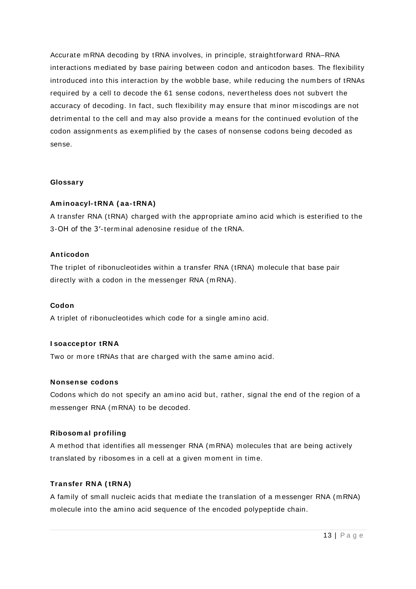Accurate m RNA decoding by tRNA involves, in principle, straightforward RNA–RNA interactions m ediated by base pairing between codon and anticodon bases. The flexibility introduced into this interaction by the wobble base, while reducing the numbers of tRNAs required by a cell to decode the 61 sense codons, nevertheless does not subvert the accuracy of decoding. In fact, such flexibility may ensure that minor miscodings are not detrimental to the cell and may also provide a means for the continued evolution of the codon assignm ents as exem plified by the cases of nonsense codons being decoded as sense.

#### **Glossary**

#### **Am inoacyl-tRNA ( aa-tRNA)**

A transfer RNA (tRNA) charged with the appropriate amino acid which is esterified to the 3-OH of the 3'-terminal adenosine residue of the tRNA.

#### **Anticodon**

The triplet of ribonucleotides within a transfer RNA (tRNA) m olecule that base pair directly with a codon in the messenger RNA (mRNA).

#### **Codon**

A triplet of ribonucleotides which code for a single amino acid.

#### **I soacceptor tRNA**

Two or more tRNAs that are charged with the same amino acid.

#### **Nonsense codons**

Codons which do not specify an amino acid but, rather, signal the end of the region of a m essenger RNA (m RNA) to be decoded.

#### **Ribosom al profiling**

A m ethod that identifies all m essenger RNA (m RNA) m olecules that are being actively translated by ribosomes in a cell at a given moment in time.

#### **Transfer RNA ( tRNA)**

A family of small nucleic acids that mediate the translation of a m essenger RNA (m RNA) m olecule into the am ino acid sequence of the encoded polypeptide chain.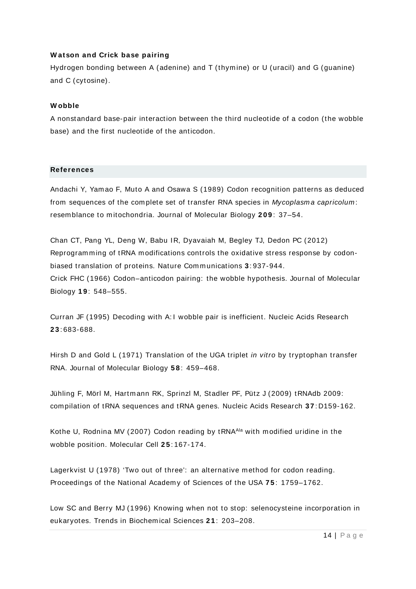#### **W atson and Crick base pairing**

Hydrogen bonding between A (adenine) and T (thym ine) or U (uracil) and G (guanine) and C (cytosine).

#### **W obble**

A nonstandard base-pair interaction between the third nucleotide of a codon (the wobble base) and the first nucleotide of the anticodon.

#### **References**

Andachi Y, Yam ao F, Muto A and Osawa S (1989) Codon recognition patterns as deduced from sequences of the complete set of transfer RNA species in Mycoplasma capricolum: resem blance to m itochondria. Journal of Molecular Biology **2 0 9** : 37–54.

[Chan CT,](http://www.ncbi.nlm.nih.gov/pubmed/?term=Chan%20CT%5BAuthor%5D&cauthor=true&cauthor_uid=22760636) [Pang YL,](http://www.ncbi.nlm.nih.gov/pubmed/?term=Pang%20YL%5BAuthor%5D&cauthor=true&cauthor_uid=22760636) [Deng W,](http://www.ncbi.nlm.nih.gov/pubmed/?term=Deng%20W%5BAuthor%5D&cauthor=true&cauthor_uid=22760636) [Babu IR,](http://www.ncbi.nlm.nih.gov/pubmed/?term=Babu%20IR%5BAuthor%5D&cauthor=true&cauthor_uid=22760636) [Dyavaiah M,](http://www.ncbi.nlm.nih.gov/pubmed/?term=Dyavaiah%20M%5BAuthor%5D&cauthor=true&cauthor_uid=22760636) [Begley TJ,](http://www.ncbi.nlm.nih.gov/pubmed/?term=Begley%20TJ%5BAuthor%5D&cauthor=true&cauthor_uid=22760636) [Dedon PC](http://www.ncbi.nlm.nih.gov/pubmed/?term=Dedon%20PC%5BAuthor%5D&cauthor=true&cauthor_uid=22760636) (2012) Reprogramming of tRNA modifications controls the oxidative stress response by codonbiased translation of proteins. [Nature Com m unications](http://www.ncbi.nlm.nih.gov/pubmed/?term=22760636) **3** : 937-944. Crick FHC (1966) Codon–anticodon pairing: the wobble hypothesis. Journal of Molecular Biology **1 9** : 548–555.

Curran JF (1995) Decoding with A: I wobble pair is inefficient. Nucleic Acids Research **2 3** : 683-688.

Hirsh D and Gold L (1971) Translation of the UGA triplet in vitro by tryptophan transfer RNA. Journal of Molecular Biology **5 8** : 459–468.

Jühling F, Mörl M, Hartm ann RK, Sprinzl M, Stadler PF, Pütz J (2009) tRNAdb 2009: com pilation of tRNA sequences and tRNA genes. Nucleic Acids Research **3 7** : D159-162.

[Kothe U,](http://www.ncbi.nlm.nih.gov/pubmed/?term=Kothe%20U%5BAuthor%5D&cauthor=true&cauthor_uid=17218280) [Rodnina MV](http://www.ncbi.nlm.nih.gov/pubmed/?term=Rodnina%20MV%5BAuthor%5D&cauthor=true&cauthor_uid=17218280) (2007) Codon reading by tRNA<sup>Ala</sup> with modified uridine in the wobble position. [Molecular Cell](http://www.ncbi.nlm.nih.gov/pubmed/?term=17218280) **2 5** : 167-174.

Lagerkvist U (1978) 'Two out of three': an alternative method for codon reading. Proceedings of the National Academ y of Sciences of the USA **7 5** : 1759–1762.

Low SC and Berry MJ (1996) Knowing when not to stop: selenocysteine incorporation in eukaryotes. Trends in Biochem ical Sciences **2 1** : 203–208.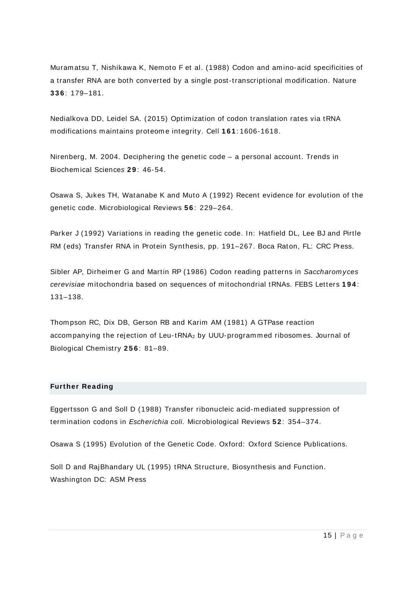Muram atsu T, Nishikawa K, Nem oto F et al. (1988) Codon and am ino-acid specificities of a transfer RNA are both converted by a single post-transcriptional modification. Nature **3 3 6** : 179–181.

Nedialkova DD, Leidel SA. (2015) [Optim ization of codon translation rates via tRNA](http://www.ncbi.nlm.nih.gov/pubmed/26052047)  [modifications maintains proteom e integrity.](http://www.ncbi.nlm.nih.gov/pubmed/26052047) Cell **1 6 1** : 1606-1618.

Nirenberg, M. 2004. Deciphering the genetic code – a personal account. Trends in Biochemical Sciences **2 9** : 46-54.

Osawa S, Jukes TH, Watanabe K and Muto A (1992) Recent evidence for evolution of the genetic code. Microbiological Reviews **5 6** : 229–264.

Parker J (1992) Variations in reading the genetic code. In: Hatfield DL, Lee BJ and Pirtle RM (eds) Transfer RNA in Protein Synthesis, pp. 191–267. Boca Raton, FL: CRC Press.

Sibler AP, Dirheimer G and Martin RP (1986) Codon reading patterns in Saccharomyces cerevisiae mitochondria based on sequences of mitochondrial tRNAs. FEBS Letters **1 9 4** : 131–138.

Thom pson RC, Dix DB, Gerson RB and Karim AM (1981) A GTPase reaction accompanying the rejection of Leu-tRNA<sub>2</sub> by UUU-programmed ribosomes. Journal of Biological Chem istry **2 5 6** : 81–89.

#### **Further Reading**

Eggertsson G and Soll D (1988) Transfer ribonucleic acid-mediated suppression of termination codons in Escherichia coli. Microbiological Reviews **5 2** : 354–374.

Osawa S (1995) Evolution of the Genetic Code. Oxford: Oxford Science Publications.

Soll D and RajBhandary UL (1995) tRNA Structure, Biosynthesis and Function. Washington DC: ASM Press